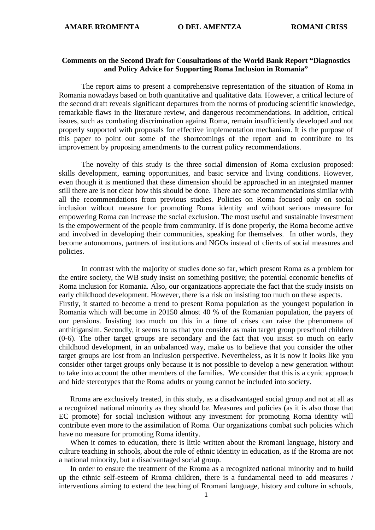## **Comments on the Second Draft for Consultations of the World Bank Report "Diagnostics and Policy Advice for Supporting Roma Inclusion in Romania"**

The report aims to present a comprehensive representation of the situation of Roma in Romania nowadays based on both quantitative and qualitative data. However, a critical lecture of the second draft reveals significant departures from the norms of producing scientific knowledge, remarkable flaws in the literature review, and dangerous recommendations. In addition, critical issues, such as combating discrimination against Roma, remain insufficiently developed and not properly supported with proposals for effective implementation mechanism. It is the purpose of this paper to point out some of the shortcomings of the report and to contribute to its improvement by proposing amendments to the current policy recommendations.

The novelty of this study is the three social dimension of Roma exclusion proposed: skills development, earning opportunities, and basic service and living conditions. However, even though it is mentioned that these dimension should be approached in an integrated manner still there are is not clear how this should be done. There are some recommendations similar with all the recommendations from previous studies. Policies on Roma focused only on social inclusion without measure for promoting Roma identity and without serious measure for empowering Roma can increase the social exclusion. The most useful and sustainable investment is the empowerment of the people from community. If is done properly, the Roma become active and involved in developing their communities, speaking for themselves. In other words, they become autonomous, partners of institutions and NGOs instead of clients of social measures and policies.

In contrast with the majority of studies done so far, which present Roma as a problem for the entire society, the WB study insist on something positive; the potential economic benefits of Roma inclusion for Romania. Also, our organizations appreciate the fact that the study insists on early childhood development. However, there is a risk on insisting too much on these aspects. Firstly, it started to become a trend to present Roma population as the youngest population in Romania which will become in 20150 almost 40 % of the Romanian population, the payers of our pensions. Insisting too much on this in a time of crises can raise the phenomena of anthitigansim. Secondly, it seems to us that you consider as main target group preschool children (0-6). The other target groups are secondary and the fact that you insist so much on early childhood development, in an unbalanced way, make us to believe that you consider the other target groups are lost from an inclusion perspective. Nevertheless, as it is now it looks like you consider other target groups only because it is not possible to develop a new generation without to take into account the other members of the families. We consider that this is a cynic approach and hide stereotypes that the Roma adults or young cannot be included into society.

Rroma are exclusively treated, in this study, as a disadvantaged social group and not at all as a recognized national minority as they should be. Measures and policies (as it is also those that EC promote) for social inclusion without any investment for promoting Roma identity will contribute even more to the assimilation of Roma. Our organizations combat such policies which have no measure for promoting Roma identity.

When it comes to education, there is little written about the Rromani language, history and culture teaching in schools, about the role of ethnic identity in education, as if the Rroma are not a national minority, but a disadvantaged social group.

In order to ensure the treatment of the Rroma as a recognized national minority and to build up the ethnic self-esteem of Rroma children, there is a fundamental need to add measures / interventions aiming to extend the teaching of Rromani language, history and culture in schools,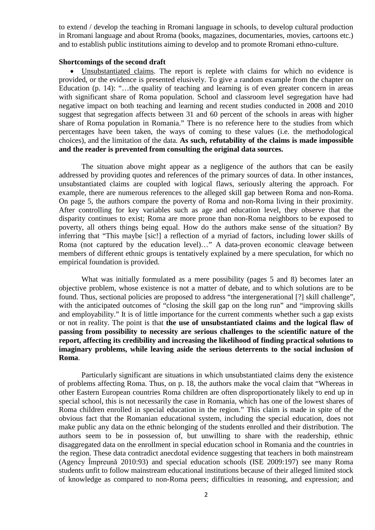to extend / develop the teaching in Rromani language in schools, to develop cultural production in Rromani language and about Rroma (books, magazines, documentaries, movies, cartoons etc.) and to establish public institutions aiming to develop and to promote Rromani ethno-culture.

#### **Shortcomings of the second draft**

• Unsubstantiated claims. The report is replete with claims for which no evidence is provided, or the evidence is presented elusively. To give a random example from the chapter on Education (p. 14): "…the quality of teaching and learning is of even greater concern in areas with significant share of Roma population. School and classroom level segregation have had negative impact on both teaching and learning and recent studies conducted in 2008 and 2010 suggest that segregation affects between 31 and 60 percent of the schools in areas with higher share of Roma population in Romania." There is no reference here to the studies from which percentages have been taken, the ways of coming to these values (i.e. the methodological choices), and the limitation of the data. **As such, refutability of the claims is made impossible and the reader is prevented from consulting the original data sources.** 

The situation above might appear as a negligence of the authors that can be easily addressed by providing quotes and references of the primary sources of data. In other instances, unsubstantiated claims are coupled with logical flaws, seriously altering the approach. For example, there are numerous references to the alleged skill gap between Roma and non-Roma. On page 5, the authors compare the poverty of Roma and non-Roma living in their proximity. After controlling for key variables such as age and education level, they observe that the disparity continues to exist; Roma are more prone than non-Roma neighbors to be exposed to poverty, all others things being equal. How do the authors make sense of the situation? By inferring that "This maybe [sic!] a reflection of a myriad of factors, including lower skills of Roma (not captured by the education level)…" A data-proven economic cleavage between members of different ethnic groups is tentatively explained by a mere speculation, for which no empirical foundation is provided.

What was initially formulated as a mere possibility (pages 5 and 8) becomes later an objective problem, whose existence is not a matter of debate, and to which solutions are to be found. Thus, sectional policies are proposed to address "the intergenerational [?] skill challenge", with the anticipated outcomes of "closing the skill gap on the long run" and "improving skills" and employability." It is of little importance for the current comments whether such a gap exists or not in reality. The point is that **the use of unsubstantiated claims and the logical flaw of passing from possibility to necessity are serious challenges to the scientific nature of the report, affecting its credibility and increasing the likelihood of finding practical solutions to imaginary problems, while leaving aside the serious deterrents to the social inclusion of Roma**.

Particularly significant are situations in which unsubstantiated claims deny the existence of problems affecting Roma. Thus, on p. 18, the authors make the vocal claim that "Whereas in other Eastern European countries Roma children are often disproportionately likely to end up in special school, this is not necessarily the case in Romania, which has one of the lowest shares of Roma children enrolled in special education in the region." This claim is made in spite of the obvious fact that the Romanian educational system, including the special education, does not make public any data on the ethnic belonging of the students enrolled and their distribution. The authors seem to be in possession of, but unwilling to share with the readership, ethnic disaggregated data on the enrollment in special education school in Romania and the countries in the region. These data contradict anecdotal evidence suggesting that teachers in both mainstream (Agency Împreună 2010:93) and special education schools (ISE 2009:197) see many Roma students unfit to follow mainstream educational institutions because of their alleged limited stock of knowledge as compared to non-Roma peers; difficulties in reasoning, and expression; and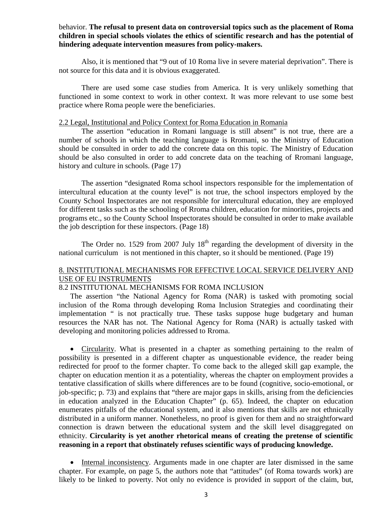## behavior. **The refusal to present data on controversial topics such as the placement of Roma children in special schools violates the ethics of scientific research and has the potential of hindering adequate intervention measures from policy-makers.**

Also, it is mentioned that "9 out of 10 Roma live in severe material deprivation". There is not source for this data and it is obvious exaggerated.

There are used some case studies from America. It is very unlikely something that functioned in some context to work in other context. It was more relevant to use some best practice where Roma people were the beneficiaries.

### 2.2 Legal, Institutional and Policy Context for Roma Education in Romania

The assertion "education in Romani language is still absent" is not true, there are a number of schools in which the teaching language is Rromani, so the Ministry of Education should be consulted in order to add the concrete data on this topic. The Ministry of Education should be also consulted in order to add concrete data on the teaching of Rromani language, history and culture in schools. (Page 17)

The assertion "designated Roma school inspectors responsible for the implementation of intercultural education at the county level" is not true, the school inspectors employed by the County School Inspectorates are not responsible for intercultural education, they are employed for different tasks such as the schooling of Rroma children, education for minorities, projects and programs etc., so the County School Inspectorates should be consulted in order to make available the job description for these inspectors. (Page 18)

The Order no. 1529 from 2007 July  $18<sup>th</sup>$  regarding the development of diversity in the national curriculum is not mentioned in this chapter, so it should be mentioned. (Page 19)

## 8. INSTITUTIONAL MECHANISMS FOR EFFECTIVE LOCAL SERVICE DELIVERY AND USE OF EU INSTRUMENTS

## 8.2 INSTITUTIONAL MECHANISMS FOR ROMA INCLUSION

The assertion "the National Agency for Roma (NAR) is tasked with promoting social inclusion of the Roma through developing Roma Inclusion Strategies and coordinating their implementation " is not practically true. These tasks suppose huge budgetary and human resources the NAR has not. The National Agency for Roma (NAR) is actually tasked with developing and monitoring policies addressed to Rroma.

• Circularity. What is presented in a chapter as something pertaining to the realm of possibility is presented in a different chapter as unquestionable evidence, the reader being redirected for proof to the former chapter. To come back to the alleged skill gap example, the chapter on education mention it as a potentiality, whereas the chapter on employment provides a tentative classification of skills where differences are to be found (cognitive, socio-emotional, or job-specific; p. 73) and explains that "there are major gaps in skills, arising from the deficiencies in education analyzed in the Education Chapter" (p. 65). Indeed, the chapter on education enumerates pitfalls of the educational system, and it also mentions that skills are not ethnically distributed in a uniform manner. Nonetheless, no proof is given for them and no straightforward connection is drawn between the educational system and the skill level disaggregated on ethnicity. **Circularity is yet another rhetorical means of creating the pretense of scientific reasoning in a report that obstinately refuses scientific ways of producing knowledge.**

• Internal inconsistency. Arguments made in one chapter are later dismissed in the same chapter. For example, on page 5, the authors note that "attitudes" (of Roma towards work) are likely to be linked to poverty. Not only no evidence is provided in support of the claim, but,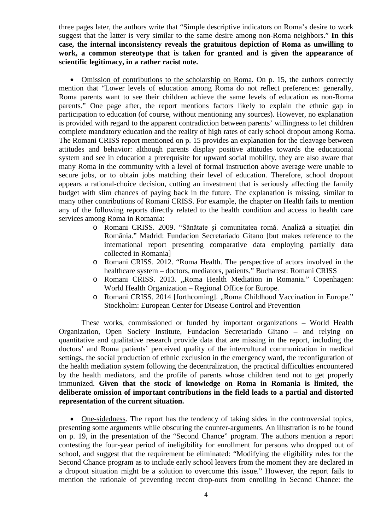three pages later, the authors write that "Simple descriptive indicators on Roma's desire to work suggest that the latter is very similar to the same desire among non-Roma neighbors." **In this case, the internal inconsistency reveals the gratuitous depiction of Roma as unwilling to work, a common stereotype that is taken for granted and is given the appearance of scientific legitimacy, in a rather racist note.**

• Omission of contributions to the scholarship on Roma. On p. 15, the authors correctly mention that "Lower levels of education among Roma do not reflect preferences: generally, Roma parents want to see their children achieve the same levels of education as non-Roma parents." One page after, the report mentions factors likely to explain the ethnic gap in participation to education (of course, without mentioning any sources). However, no explanation is provided with regard to the apparent contradiction between parents' willingness to let children complete mandatory education and the reality of high rates of early school dropout among Roma. The Romani CRISS report mentioned on p. 15 provides an explanation for the cleavage between attitudes and behavior: although parents display positive attitudes towards the educational system and see in education a prerequisite for upward social mobility, they are also aware that many Roma in the community with a level of formal instruction above average were unable to secure jobs, or to obtain jobs matching their level of education. Therefore, school dropout appears a rational-choice decision, cutting an investment that is seriously affecting the family budget with slim chances of paying back in the future. The explanation is missing, similar to many other contributions of Romani CRISS. For example, the chapter on Health fails to mention any of the following reports directly related to the health condition and access to health care services among Roma in Romania:

- o Romani CRISS. 2009. "Sănătate și comunitatea romă. Analiză a situației din România." Madrid: Fundacion Secretariado Gitano [but makes reference to the international report presenting comparative data employing partially data collected in Romania]
- o Romani CRISS. 2012. "Roma Health. The perspective of actors involved in the healthcare system – doctors, mediators, patients." Bucharest: Romani CRISS
- o Romani CRISS. 2013. "Roma Health Mediation in Romania." Copenhagen: World Health Organization – Regional Office for Europe.
- o Romani CRISS. 2014 [forthcoming]. "Roma Childhood Vaccination in Europe." Stockholm: European Center for Disease Control and Prevention

These works, commissioned or funded by important organizations – World Health Organization, Open Society Institute, Fundacion Secretariado Gitano – and relying on quantitative and qualitative research provide data that are missing in the report, including the doctors' and Roma patients' perceived quality of the intercultural communication in medical settings, the social production of ethnic exclusion in the emergency ward, the reconfiguration of the health mediation system following the decentralization, the practical difficulties encountered by the health mediators, and the profile of parents whose children tend not to get properly immunized. **Given that the stock of knowledge on Roma in Romania is limited, the deliberate omission of important contributions in the field leads to a partial and distorted representation of the current situation.**

• One-sidedness. The report has the tendency of taking sides in the controversial topics, presenting some arguments while obscuring the counter-arguments. An illustration is to be found on p. 19, in the presentation of the "Second Chance" program. The authors mention a report contesting the four-year period of ineligibility for enrollment for persons who dropped out of school, and suggest that the requirement be eliminated: "Modifying the eligibility rules for the Second Chance program as to include early school leavers from the moment they are declared in a dropout situation might be a solution to overcome this issue." However, the report fails to mention the rationale of preventing recent drop-outs from enrolling in Second Chance: the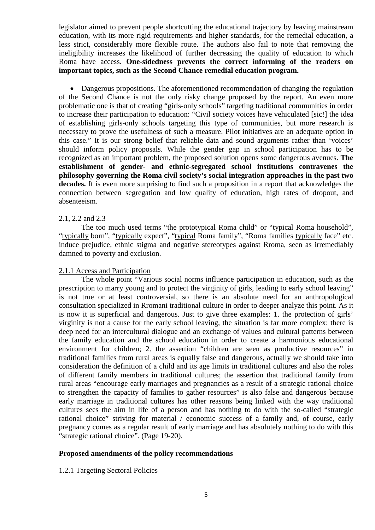legislator aimed to prevent people shortcutting the educational trajectory by leaving mainstream education, with its more rigid requirements and higher standards, for the remedial education, a less strict, considerably more flexible route. The authors also fail to note that removing the ineligibility increases the likelihood of further decreasing the quality of education to which Roma have access. **One-sidedness prevents the correct informing of the readers on important topics, such as the Second Chance remedial education program.**

• Dangerous propositions. The aforementioned recommendation of changing the regulation of the Second Chance is not the only risky change proposed by the report. An even more problematic one is that of creating "girls-only schools" targeting traditional communities in order to increase their participation to education: "Civil society voices have vehiculated [sic!] the idea of establishing girls-only schools targeting this type of communities, but more research is necessary to prove the usefulness of such a measure. Pilot initiatives are an adequate option in this case." It is our strong belief that reliable data and sound arguments rather than 'voices' should inform policy proposals. While the gender gap in school participation has to be recognized as an important problem, the proposed solution opens some dangerous avenues. **The establishment of gender- and ethnic-segregated school institutions contravenes the philosophy governing the Roma civil society's social integration approaches in the past two decades.** It is even more surprising to find such a proposition in a report that acknowledges the connection between segregation and low quality of education, high rates of dropout, and absenteeism.

## 2.1, 2.2 and 2.3

The too much used terms "the prototypical Roma child" or "typical Roma household", "typically born", "typically expect", "typical Roma family", "Roma families typically face" etc. induce prejudice, ethnic stigma and negative stereotypes against Rroma, seen as irremediably damned to poverty and exclusion.

## 2.1.1 Access and Participation

The whole point "Various social norms influence participation in education, such as the prescription to marry young and to protect the virginity of girls, leading to early school leaving" is not true or at least controversial, so there is an absolute need for an anthropological consultation specialized in Rromani traditional culture in order to deeper analyze this point. As it is now it is superficial and dangerous. Just to give three examples: 1. the protection of girls' virginity is not a cause for the early school leaving, the situation is far more complex: there is deep need for an intercultural dialogue and an exchange of values and cultural patterns between the family education and the school education in order to create a harmonious educational environment for children; 2. the assertion "children are seen as productive resources" in traditional families from rural areas is equally false and dangerous, actually we should take into consideration the definition of a child and its age limits in traditional cultures and also the roles of different family members in traditional cultures; the assertion that traditional family from rural areas "encourage early marriages and pregnancies as a result of a strategic rational choice to strengthen the capacity of families to gather resources" is also false and dangerous because early marriage in traditional cultures has other reasons being linked with the way traditional cultures sees the aim in life of a person and has nothing to do with the so-called "strategic rational choice" striving for material / economic success of a family and, of course, early pregnancy comes as a regular result of early marriage and has absolutely nothing to do with this "strategic rational choice". (Page 19-20).

## **Proposed amendments of the policy recommendations**

## 1.2.1 Targeting Sectoral Policies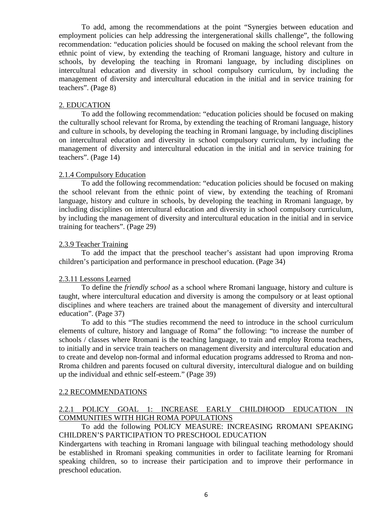To add, among the recommendations at the point "Synergies between education and employment policies can help addressing the intergenerational skills challenge", the following recommendation: "education policies should be focused on making the school relevant from the ethnic point of view, by extending the teaching of Rromani language, history and culture in schools, by developing the teaching in Rromani language, by including disciplines on intercultural education and diversity in school compulsory curriculum, by including the management of diversity and intercultural education in the initial and in service training for teachers". (Page 8)

### 2. EDUCATION

To add the following recommendation: "education policies should be focused on making the culturally school relevant for Rroma, by extending the teaching of Rromani language, history and culture in schools, by developing the teaching in Rromani language, by including disciplines on intercultural education and diversity in school compulsory curriculum, by including the management of diversity and intercultural education in the initial and in service training for teachers". (Page 14)

### 2.1.4 Compulsory Education

To add the following recommendation: "education policies should be focused on making the school relevant from the ethnic point of view, by extending the teaching of Rromani language, history and culture in schools, by developing the teaching in Rromani language, by including disciplines on intercultural education and diversity in school compulsory curriculum, by including the management of diversity and intercultural education in the initial and in service training for teachers". (Page 29)

## 2.3.9 Teacher Training

To add the impact that the preschool teacher's assistant had upon improving Rroma children's participation and performance in preschool education. (Page 34)

## 2.3.11 Lessons Learned

To define the *friendly school* as a school where Rromani language, history and culture is taught, where intercultural education and diversity is among the compulsory or at least optional disciplines and where teachers are trained about the management of diversity and intercultural education". (Page 37)

To add to this "The studies recommend the need to introduce in the school curriculum elements of culture, history and language of Roma" the following: "to increase the number of schools / classes where Rromani is the teaching language, to train and employ Rroma teachers, to initially and in service train teachers on management diversity and intercultural education and to create and develop non-formal and informal education programs addressed to Rroma and non-Rroma children and parents focused on cultural diversity, intercultural dialogue and on building up the individual and ethnic self-esteem." (Page 39)

#### 2.2 RECOMMENDATIONS

## 2.2.1 POLICY GOAL 1: INCREASE EARLY CHILDHOOD EDUCATION IN COMMUNITIES WITH HIGH ROMA POPULATIONS

To add the following POLICY MEASURE: INCREASING RROMANI SPEAKING CHILDREN'S PARTICIPATION TO PRESCHOOL EDUCATION

Kindergartens with teaching in Rromani language with bilingual teaching methodology should be established in Rromani speaking communities in order to facilitate learning for Rromani speaking children, so to increase their participation and to improve their performance in preschool education.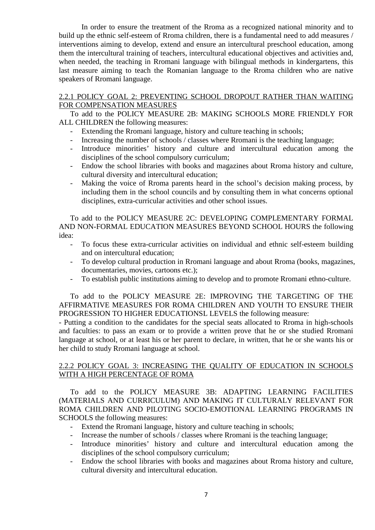In order to ensure the treatment of the Rroma as a recognized national minority and to build up the ethnic self-esteem of Rroma children, there is a fundamental need to add measures / interventions aiming to develop, extend and ensure an intercultural preschool education, among them the intercultural training of teachers, intercultural educational objectives and activities and, when needed, the teaching in Rromani language with bilingual methods in kindergartens, this last measure aiming to teach the Romanian language to the Rroma children who are native speakers of Rromani language.

## 2.2.1 POLICY GOAL 2: PREVENTING SCHOOL DROPOUT RATHER THAN WAITING FOR COMPENSATION MEASURES

To add to the POLICY MEASURE 2B: MAKING SCHOOLS MORE FRIENDLY FOR ALL CHILDREN the following measures:

- Extending the Rromani language, history and culture teaching in schools;
- Increasing the number of schools / classes where Rromani is the teaching language;
- Introduce minorities' history and culture and intercultural education among the disciplines of the school compulsory curriculum;
- Endow the school libraries with books and magazines about Rroma history and culture, cultural diversity and intercultural education;
- Making the voice of Rroma parents heard in the school's decision making process, by including them in the school councils and by consulting them in what concerns optional disciplines, extra-curricular activities and other school issues.

To add to the POLICY MEASURE 2C: DEVELOPING COMPLEMENTARY FORMAL AND NON-FORMAL EDUCATION MEASURES BEYOND SCHOOL HOURS the following idea:

- To focus these extra-curricular activities on individual and ethnic self-esteem building and on intercultural education;
- To develop cultural production in Rromani language and about Rroma (books, magazines, documentaries, movies, cartoons etc.);
- To establish public institutions aiming to develop and to promote Rromani ethno-culture.

To add to the POLICY MEASURE 2E: IMPROVING THE TARGETING OF THE AFFIRMATIVE MEASURES FOR ROMA CHILDREN AND YOUTH TO ENSURE THEIR PROGRESSION TO HIGHER EDUCATIONSL LEVELS the following measure:

- Putting a condition to the candidates for the special seats allocated to Rroma in high-schools and faculties: to pass an exam or to provide a written prove that he or she studied Rromani language at school, or at least his or her parent to declare, in written, that he or she wants his or her child to study Rromani language at school.

## 2.2.2 POLICY GOAL 3: INCREASING THE QUALITY OF EDUCATION IN SCHOOLS WITH A HIGH PERCENTAGE OF ROMA

To add to the POLICY MEASURE 3B: ADAPTING LEARNING FACILITIES (MATERIALS AND CURRICULUM) AND MAKING IT CULTURALY RELEVANT FOR ROMA CHILDREN AND PILOTING SOCIO-EMOTIONAL LEARNING PROGRAMS IN SCHOOLS the following measures:

- Extend the Rromani language, history and culture teaching in schools;
- Increase the number of schools / classes where Rromani is the teaching language;
- Introduce minorities' history and culture and intercultural education among the disciplines of the school compulsory curriculum;
- Endow the school libraries with books and magazines about Rroma history and culture, cultural diversity and intercultural education.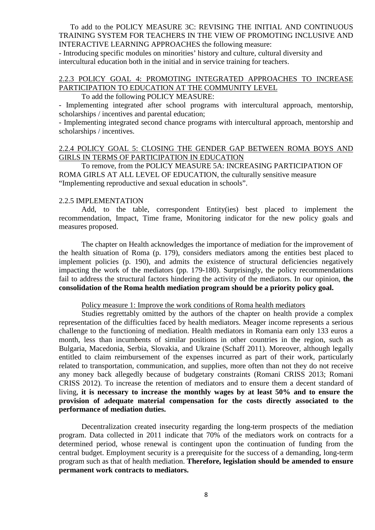To add to the POLICY MEASURE 3C: REVISING THE INITIAL AND CONTINUOUS TRAINING SYSTEM FOR TEACHERS IN THE VIEW OF PROMOTING INCLUSIVE AND INTERACTIVE LEARNING APPROACHES the following measure:

- Introducing specific modules on minorities' history and culture, cultural diversity and intercultural education both in the initial and in service training for teachers.

# 2.2.3 POLICY GOAL 4: PROMOTING INTEGRATED APPROACHES TO INCREASE PARTICIPATION TO EDUCATION AT THE COMMUNITY LEVEL

### To add the following POLICY MEASURE:

- Implementing integrated after school programs with intercultural approach, mentorship, scholarships / incentives and parental education;

- Implementing integrated second chance programs with intercultural approach, mentorship and scholarships / incentives.

## 2.2.4 POLICY GOAL 5: CLOSING THE GENDER GAP BETWEEN ROMA BOYS AND GIRLS IN TERMS OF PARTICIPATION IN EDUCATION

To remove, from the POLICY MEASURE 5A: INCREASING PARTICIPATION OF ROMA GIRLS AT ALL LEVEL OF EDUCATION, the culturally sensitive measure "Implementing reproductive and sexual education in schools".

### 2.2.5 IMPLEMENTATION

Add, to the table, correspondent Entity(ies) best placed to implement the recommendation, Impact, Time frame, Monitoring indicator for the new policy goals and measures proposed.

The chapter on Health acknowledges the importance of mediation for the improvement of the health situation of Roma (p. 179), considers mediators among the entities best placed to implement policies (p. 190), and admits the existence of structural deficiencies negatively impacting the work of the mediators (pp. 179-180). Surprisingly, the policy recommendations fail to address the structural factors hindering the activity of the mediators. In our opinion, **the consolidation of the Roma health mediation program should be a priority policy goal.**

#### Policy measure 1: Improve the work conditions of Roma health mediators

Studies regrettably omitted by the authors of the chapter on health provide a complex representation of the difficulties faced by health mediators. Meager income represents a serious challenge to the functioning of mediation. Health mediators in Romania earn only 133 euros a month, less than incumbents of similar positions in other countries in the region, such as Bulgaria, Macedonia, Serbia, Slovakia, and Ukraine (Schaff 2011). Moreover, although legally entitled to claim reimbursement of the expenses incurred as part of their work, particularly related to transportation, communication, and supplies, more often than not they do not receive any money back allegedly because of budgetary constraints (Romani CRISS 2013; Romani CRISS 2012). To increase the retention of mediators and to ensure them a decent standard of living, **it is necessary to increase the monthly wages by at least 50% and to ensure the provision of adequate material compensation for the costs directly associated to the performance of mediation duties.**

Decentralization created insecurity regarding the long-term prospects of the mediation program. Data collected in 2011 indicate that 70% of the mediators work on contracts for a determined period, whose renewal is contingent upon the continuation of funding from the central budget. Employment security is a prerequisite for the success of a demanding, long-term program such as that of health mediation. **Therefore, legislation should be amended to ensure permanent work contracts to mediators.**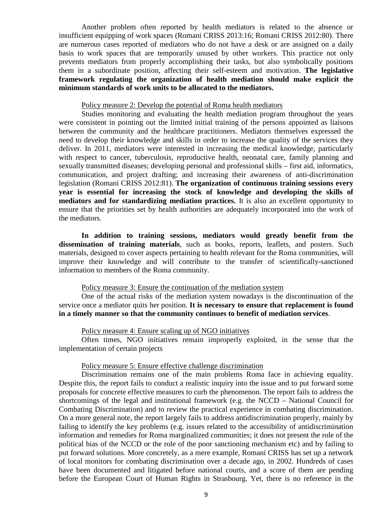Another problem often reported by health mediators is related to the absence or insufficient equipping of work spaces (Romani CRISS 2013:16; Romani CRISS 2012:80). There are numerous cases reported of mediators who do not have a desk or are assigned on a daily basis to work spaces that are temporarily unused by other workers. This practice not only prevents mediators from properly accomplishing their tasks, but also symbolically positions them in a subordinate position, affecting their self-esteem and motivation. **The legislative framework regulating the organization of health mediation should make explicit the minimum standards of work units to be allocated to the mediators.**

### Policy measure 2: Develop the potential of Roma health mediators

Studies monitoring and evaluating the health mediation program throughout the years were consistent in pointing out the limited initial training of the persons appointed as liaisons between the community and the healthcare practitioners. Mediators themselves expressed the need to develop their knowledge and skills in order to increase the quality of the services they deliver. In 2011, mediators were interested in increasing the medical knowledge, particularly with respect to cancer, tuberculosis, reproductive health, neonatal care, family planning and sexually transmitted diseases; developing personal and professional skills – first aid, informatics, communication, and project drafting; and increasing their awareness of anti-discrimination legislation (Romani CRISS 2012:81). **The organization of continuous training sessions every year is essential for increasing the stock of knowledge and developing the skills of mediators and for standardizing mediation practices.** It is also an excellent opportunity to ensure that the priorities set by health authorities are adequately incorporated into the work of the mediators.

**In addition to training sessions, mediators would greatly benefit from the dissemination of training materials**, such as books, reports, leaflets, and posters. Such materials, designed to cover aspects pertaining to health relevant for the Roma communities, will improve their knowledge and will contribute to the transfer of scientifically-sanctioned information to members of the Roma community.

### Policy measure 3: Ensure the continuation of the mediation system

One of the actual risks of the mediation system nowadays is the discontinuation of the service once a mediator quits her position. **It is necessary to ensure that replacement is found in a timely manner so that the community continues to benefit of mediation services**.

#### Policy measure 4: Ensure scaling up of NGO initiatives

Often times, NGO initiatives remain improperly exploited, in the sense that the implementation of certain projects

#### Policy measure 5: Ensure effective challenge discrimination

Discrimination remains one of the main problems Roma face in achieving equality. Despite this, the report fails to conduct a realistic inquiry into the issue and to put forward some proposals for concrete effective measures to curb the phenomenon. The report fails to address the shortcomings of the legal and institutional framework (e.g. the NCCD – National Council for Combating Discrimination) and to review the practical experience in combating discrimination. On a more general note, the report largely fails to address antidiscrimination properly, mainly by failing to identify the key problems (e.g. issues related to the accessibility of antidiscrimination information and remedies for Roma marginalized communities; it does not present the role of the political bias of the NCCD or the role of the poor sanctioning mechanism etc) and by failing to put forward solutions. More concretely, as a mere example, Romani CRISS has set up a network of local monitors for combating discrimination over a decade ago, in 2002. Hundreds of cases have been documented and litigated before national courts, and a score of them are pending before the European Court of Human Rights in Strasbourg. Yet, there is no reference in the